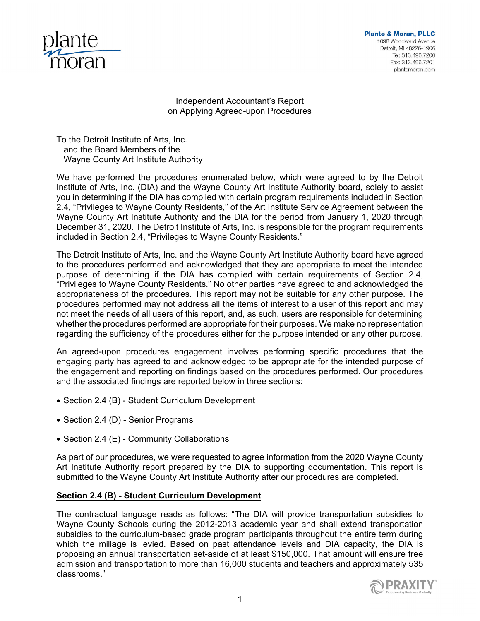

**Plante & Moran, PLLC** 1098 Woodward Avenue Detroit, MI 48226-1906 Tel: 313.496.7200 Fax: 313.496.7201 plantemoran.com

Independent Accountant's Report on Applying Agreed-upon Procedures

To the Detroit Institute of Arts, Inc. and the Board Members of the Wayne County Art Institute Authority

We have performed the procedures enumerated below, which were agreed to by the Detroit Institute of Arts, Inc. (DIA) and the Wayne County Art Institute Authority board, solely to assist you in determining if the DIA has complied with certain program requirements included in Section 2.4, "Privileges to Wayne County Residents," of the Art Institute Service Agreement between the Wayne County Art Institute Authority and the DIA for the period from January 1, 2020 through December 31, 2020. The Detroit Institute of Arts, Inc. is responsible for the program requirements included in Section 2.4, "Privileges to Wayne County Residents."

The Detroit Institute of Arts, Inc. and the Wayne County Art Institute Authority board have agreed to the procedures performed and acknowledged that they are appropriate to meet the intended purpose of determining if the DIA has complied with certain requirements of Section 2.4, "Privileges to Wayne County Residents." No other parties have agreed to and acknowledged the appropriateness of the procedures. This report may not be suitable for any other purpose. The procedures performed may not address all the items of interest to a user of this report and may not meet the needs of all users of this report, and, as such, users are responsible for determining whether the procedures performed are appropriate for their purposes. We make no representation regarding the sufficiency of the procedures either for the purpose intended or any other purpose.

An agreed-upon procedures engagement involves performing specific procedures that the engaging party has agreed to and acknowledged to be appropriate for the intended purpose of the engagement and reporting on findings based on the procedures performed. Our procedures and the associated findings are reported below in three sections:

- Section 2.4 (B) Student Curriculum Development
- Section 2.4 (D) Senior Programs
- Section 2.4 (E) Community Collaborations

As part of our procedures, we were requested to agree information from the 2020 Wayne County Art Institute Authority report prepared by the DIA to supporting documentation. This report is submitted to the Wayne County Art Institute Authority after our procedures are completed.

## **Section 2.4 (B) - Student Curriculum Development**

The contractual language reads as follows: "The DIA will provide transportation subsidies to Wayne County Schools during the 2012-2013 academic year and shall extend transportation subsidies to the curriculum-based grade program participants throughout the entire term during which the millage is levied. Based on past attendance levels and DIA capacity, the DIA is proposing an annual transportation set-aside of at least \$150,000. That amount will ensure free admission and transportation to more than 16,000 students and teachers and approximately 535 classrooms."

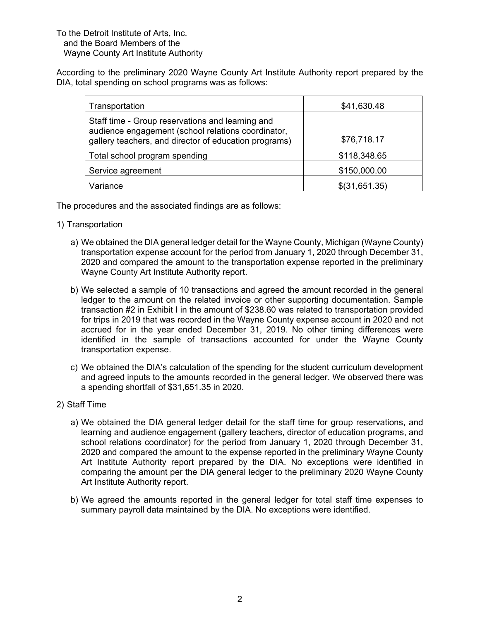According to the preliminary 2020 Wayne County Art Institute Authority report prepared by the DIA, total spending on school programs was as follows:

| Transportation                                                                                                                                                  | \$41,630.48     |
|-----------------------------------------------------------------------------------------------------------------------------------------------------------------|-----------------|
| Staff time - Group reservations and learning and<br>audience engagement (school relations coordinator,<br>gallery teachers, and director of education programs) | \$76,718.17     |
| Total school program spending                                                                                                                                   | \$118,348.65    |
| Service agreement                                                                                                                                               | \$150,000.00    |
| Variance                                                                                                                                                        | $$$ (31,651.35) |

The procedures and the associated findings are as follows:

- 1) Transportation
	- a) We obtained the DIA general ledger detail for the Wayne County, Michigan (Wayne County) transportation expense account for the period from January 1, 2020 through December 31, 2020 and compared the amount to the transportation expense reported in the preliminary Wayne County Art Institute Authority report.
	- b) We selected a sample of 10 transactions and agreed the amount recorded in the general ledger to the amount on the related invoice or other supporting documentation. Sample transaction #2 in Exhibit I in the amount of \$238.60 was related to transportation provided for trips in 2019 that was recorded in the Wayne County expense account in 2020 and not accrued for in the year ended December 31, 2019. No other timing differences were identified in the sample of transactions accounted for under the Wayne County transportation expense.
	- c) We obtained the DIA's calculation of the spending for the student curriculum development and agreed inputs to the amounts recorded in the general ledger. We observed there was a spending shortfall of \$31,651.35 in 2020.
- 2) Staff Time
	- a) We obtained the DIA general ledger detail for the staff time for group reservations, and learning and audience engagement (gallery teachers, director of education programs, and school relations coordinator) for the period from January 1, 2020 through December 31, 2020 and compared the amount to the expense reported in the preliminary Wayne County Art Institute Authority report prepared by the DIA. No exceptions were identified in comparing the amount per the DIA general ledger to the preliminary 2020 Wayne County Art Institute Authority report.
	- b) We agreed the amounts reported in the general ledger for total staff time expenses to summary payroll data maintained by the DIA. No exceptions were identified.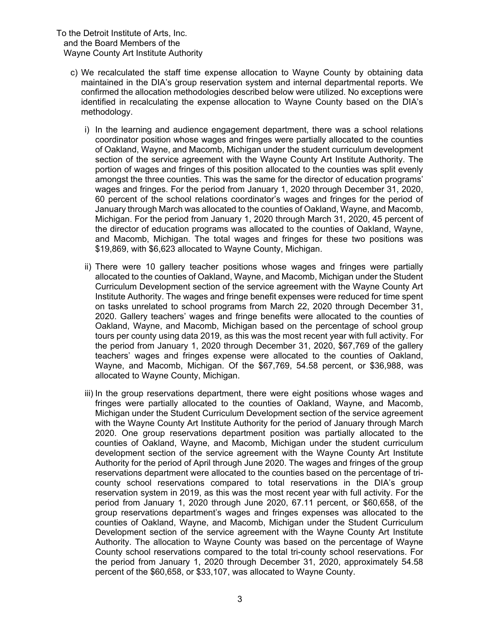- c) We recalculated the staff time expense allocation to Wayne County by obtaining data maintained in the DIA's group reservation system and internal departmental reports. We confirmed the allocation methodologies described below were utilized. No exceptions were identified in recalculating the expense allocation to Wayne County based on the DIA's methodology.
	- i) In the learning and audience engagement department, there was a school relations coordinator position whose wages and fringes were partially allocated to the counties of Oakland, Wayne, and Macomb, Michigan under the student curriculum development section of the service agreement with the Wayne County Art Institute Authority. The portion of wages and fringes of this position allocated to the counties was split evenly amongst the three counties. This was the same for the director of education programs' wages and fringes. For the period from January 1, 2020 through December 31, 2020, 60 percent of the school relations coordinator's wages and fringes for the period of January through March was allocated to the counties of Oakland, Wayne, and Macomb, Michigan. For the period from January 1, 2020 through March 31, 2020, 45 percent of the director of education programs was allocated to the counties of Oakland, Wayne, and Macomb, Michigan. The total wages and fringes for these two positions was \$19,869, with \$6,623 allocated to Wayne County, Michigan.
	- ii) There were 10 gallery teacher positions whose wages and fringes were partially allocated to the counties of Oakland, Wayne, and Macomb, Michigan under the Student Curriculum Development section of the service agreement with the Wayne County Art Institute Authority. The wages and fringe benefit expenses were reduced for time spent on tasks unrelated to school programs from March 22, 2020 through December 31, 2020. Gallery teachers' wages and fringe benefits were allocated to the counties of Oakland, Wayne, and Macomb, Michigan based on the percentage of school group tours per county using data 2019, as this was the most recent year with full activity. For the period from January 1, 2020 through December 31, 2020, \$67,769 of the gallery teachers' wages and fringes expense were allocated to the counties of Oakland, Wayne, and Macomb, Michigan. Of the \$67,769, 54.58 percent, or \$36,988, was allocated to Wayne County, Michigan.
	- iii) In the group reservations department, there were eight positions whose wages and fringes were partially allocated to the counties of Oakland, Wayne, and Macomb, Michigan under the Student Curriculum Development section of the service agreement with the Wayne County Art Institute Authority for the period of January through March 2020. One group reservations department position was partially allocated to the counties of Oakland, Wayne, and Macomb, Michigan under the student curriculum development section of the service agreement with the Wayne County Art Institute Authority for the period of April through June 2020. The wages and fringes of the group reservations department were allocated to the counties based on the percentage of tricounty school reservations compared to total reservations in the DIA's group reservation system in 2019, as this was the most recent year with full activity. For the period from January 1, 2020 through June 2020, 67.11 percent, or \$60,658, of the group reservations department's wages and fringes expenses was allocated to the counties of Oakland, Wayne, and Macomb, Michigan under the Student Curriculum Development section of the service agreement with the Wayne County Art Institute Authority. The allocation to Wayne County was based on the percentage of Wayne County school reservations compared to the total tri-county school reservations. For the period from January 1, 2020 through December 31, 2020, approximately 54.58 percent of the \$60,658, or \$33,107, was allocated to Wayne County.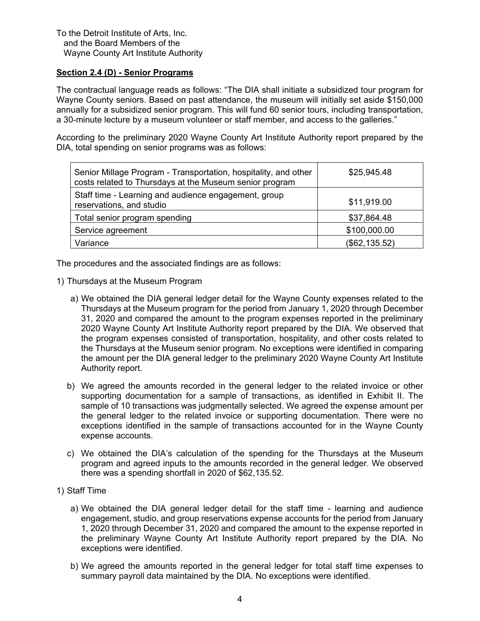# **Section 2.4 (D) - Senior Programs**

The contractual language reads as follows: "The DIA shall initiate a subsidized tour program for Wayne County seniors. Based on past attendance, the museum will initially set aside \$150,000 annually for a subsidized senior program. This will fund 60 senior tours, including transportation, a 30-minute lecture by a museum volunteer or staff member, and access to the galleries."

According to the preliminary 2020 Wayne County Art Institute Authority report prepared by the DIA, total spending on senior programs was as follows:

| Senior Millage Program - Transportation, hospitality, and other<br>costs related to Thursdays at the Museum senior program | \$25,945.48   |
|----------------------------------------------------------------------------------------------------------------------------|---------------|
| Staff time - Learning and audience engagement, group<br>reservations, and studio                                           | \$11,919.00   |
| Total senior program spending                                                                                              | \$37,864.48   |
| Service agreement                                                                                                          | \$100,000.00  |
| Variance                                                                                                                   | (\$62,135.52) |

The procedures and the associated findings are as follows:

- 1) Thursdays at the Museum Program
	- a) We obtained the DIA general ledger detail for the Wayne County expenses related to the Thursdays at the Museum program for the period from January 1, 2020 through December 31, 2020 and compared the amount to the program expenses reported in the preliminary 2020 Wayne County Art Institute Authority report prepared by the DIA. We observed that the program expenses consisted of transportation, hospitality, and other costs related to the Thursdays at the Museum senior program. No exceptions were identified in comparing the amount per the DIA general ledger to the preliminary 2020 Wayne County Art Institute Authority report.
	- b) We agreed the amounts recorded in the general ledger to the related invoice or other supporting documentation for a sample of transactions, as identified in Exhibit II. The sample of 10 transactions was judgmentally selected. We agreed the expense amount per the general ledger to the related invoice or supporting documentation. There were no exceptions identified in the sample of transactions accounted for in the Wayne County expense accounts.
	- c) We obtained the DIA's calculation of the spending for the Thursdays at the Museum program and agreed inputs to the amounts recorded in the general ledger. We observed there was a spending shortfall in 2020 of \$62,135.52.
- 1) Staff Time
	- a) We obtained the DIA general ledger detail for the staff time learning and audience engagement, studio, and group reservations expense accounts for the period from January 1, 2020 through December 31, 2020 and compared the amount to the expense reported in the preliminary Wayne County Art Institute Authority report prepared by the DIA. No exceptions were identified.
	- b) We agreed the amounts reported in the general ledger for total staff time expenses to summary payroll data maintained by the DIA. No exceptions were identified.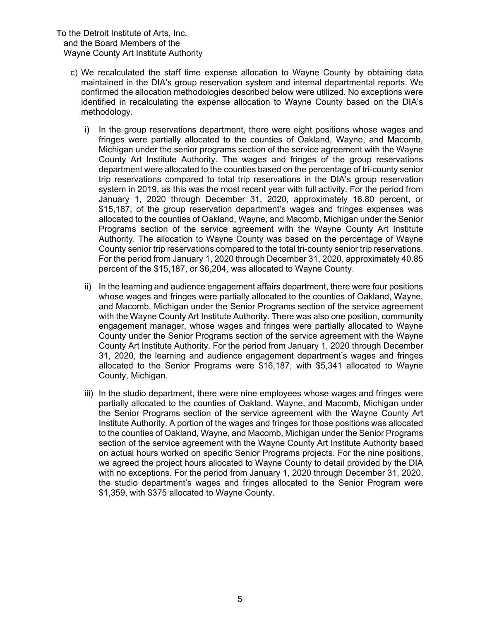- c) We recalculated the staff time expense allocation to Wayne County by obtaining data maintained in the DIA's group reservation system and internal departmental reports. We confirmed the allocation methodologies described below were utilized. No exceptions were identified in recalculating the expense allocation to Wayne County based on the DIA's methodology.
	- i) In the group reservations department, there were eight positions whose wages and fringes were partially allocated to the counties of Oakland, Wayne, and Macomb, Michigan under the senior programs section of the service agreement with the Wayne County Art Institute Authority. The wages and fringes of the group reservations department were allocated to the counties based on the percentage of tri-county senior trip reservations compared to total trip reservations in the DIA's group reservation system in 2019, as this was the most recent year with full activity. For the period from January 1, 2020 through December 31, 2020, approximately 16.80 percent, or \$15,187, of the group reservation department's wages and fringes expenses was allocated to the counties of Oakland, Wayne, and Macomb, Michigan under the Senior Programs section of the service agreement with the Wayne County Art Institute Authority. The allocation to Wayne County was based on the percentage of Wayne County senior trip reservations compared to the total tri-county senior trip reservations. For the period from January 1, 2020 through December 31, 2020, approximately 40.85 percent of the \$15,187, or \$6,204, was allocated to Wayne County.
	- ii) In the learning and audience engagement affairs department, there were four positions whose wages and fringes were partially allocated to the counties of Oakland, Wayne, and Macomb, Michigan under the Senior Programs section of the service agreement with the Wayne County Art Institute Authority. There was also one position, community engagement manager, whose wages and fringes were partially allocated to Wayne County under the Senior Programs section of the service agreement with the Wayne County Art Institute Authority. For the period from January 1, 2020 through December 31, 2020, the learning and audience engagement department's wages and fringes allocated to the Senior Programs were \$16,187, with \$5,341 allocated to Wayne County, Michigan.
	- iii) In the studio department, there were nine employees whose wages and fringes were partially allocated to the counties of Oakland, Wayne, and Macomb, Michigan under the Senior Programs section of the service agreement with the Wayne County Art Institute Authority. A portion of the wages and fringes for those positions was allocated to the counties of Oakland, Wayne, and Macomb, Michigan under the Senior Programs section of the service agreement with the Wayne County Art Institute Authority based on actual hours worked on specific Senior Programs projects. For the nine positions, we agreed the project hours allocated to Wayne County to detail provided by the DIA with no exceptions. For the period from January 1, 2020 through December 31, 2020, the studio department's wages and fringes allocated to the Senior Program were \$1,359, with \$375 allocated to Wayne County.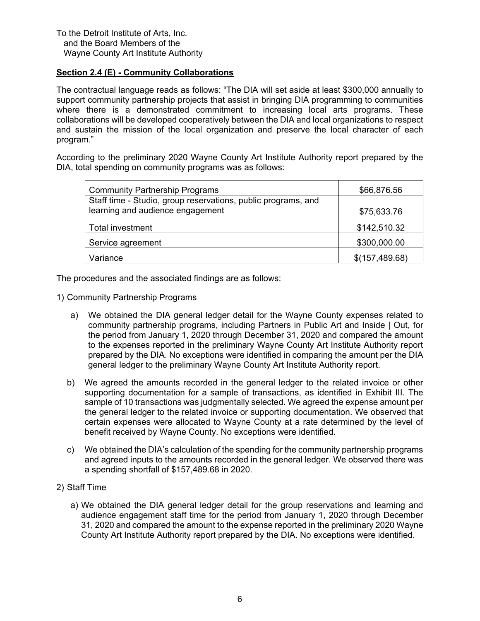# **Section 2.4 (E) - Community Collaborations**

The contractual language reads as follows: "The DIA will set aside at least \$300,000 annually to support community partnership projects that assist in bringing DIA programming to communities where there is a demonstrated commitment to increasing local arts programs. These collaborations will be developed cooperatively between the DIA and local organizations to respect and sustain the mission of the local organization and preserve the local character of each program."

According to the preliminary 2020 Wayne County Art Institute Authority report prepared by the DIA, total spending on community programs was as follows:

| <b>Community Partnership Programs</b>                         | \$66,876.56    |
|---------------------------------------------------------------|----------------|
| Staff time - Studio, group reservations, public programs, and |                |
| learning and audience engagement                              | \$75,633.76    |
| Total investment                                              | \$142,510.32   |
| Service agreement                                             | \$300,000.00   |
| Variance                                                      | \$(157,489.68) |

The procedures and the associated findings are as follows:

- 1) Community Partnership Programs
	- a) We obtained the DIA general ledger detail for the Wayne County expenses related to community partnership programs, including Partners in Public Art and Inside | Out, for the period from January 1, 2020 through December 31, 2020 and compared the amount to the expenses reported in the preliminary Wayne County Art Institute Authority report prepared by the DIA. No exceptions were identified in comparing the amount per the DIA general ledger to the preliminary Wayne County Art Institute Authority report.
	- b) We agreed the amounts recorded in the general ledger to the related invoice or other supporting documentation for a sample of transactions, as identified in Exhibit III. The sample of 10 transactions was judgmentally selected. We agreed the expense amount per the general ledger to the related invoice or supporting documentation. We observed that certain expenses were allocated to Wayne County at a rate determined by the level of benefit received by Wayne County. No exceptions were identified.
	- c) We obtained the DIA's calculation of the spending for the community partnership programs and agreed inputs to the amounts recorded in the general ledger. We observed there was a spending shortfall of \$157,489.68 in 2020.
- 2) Staff Time
	- a) We obtained the DIA general ledger detail for the group reservations and learning and audience engagement staff time for the period from January 1, 2020 through December 31, 2020 and compared the amount to the expense reported in the preliminary 2020 Wayne County Art Institute Authority report prepared by the DIA. No exceptions were identified.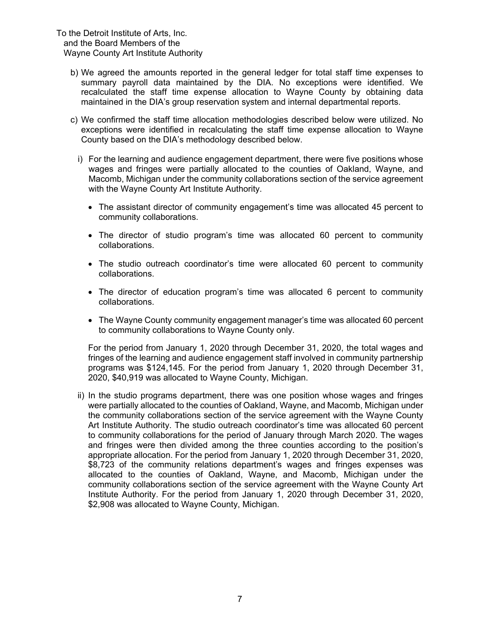- b) We agreed the amounts reported in the general ledger for total staff time expenses to summary payroll data maintained by the DIA. No exceptions were identified. We recalculated the staff time expense allocation to Wayne County by obtaining data maintained in the DIA's group reservation system and internal departmental reports.
- c) We confirmed the staff time allocation methodologies described below were utilized. No exceptions were identified in recalculating the staff time expense allocation to Wayne County based on the DIA's methodology described below.
	- i) For the learning and audience engagement department, there were five positions whose wages and fringes were partially allocated to the counties of Oakland, Wayne, and Macomb, Michigan under the community collaborations section of the service agreement with the Wayne County Art Institute Authority.
		- The assistant director of community engagement's time was allocated 45 percent to community collaborations.
		- The director of studio program's time was allocated 60 percent to community collaborations.
		- The studio outreach coordinator's time were allocated 60 percent to community collaborations.
		- The director of education program's time was allocated 6 percent to community collaborations.
		- The Wayne County community engagement manager's time was allocated 60 percent to community collaborations to Wayne County only.

For the period from January 1, 2020 through December 31, 2020, the total wages and fringes of the learning and audience engagement staff involved in community partnership programs was \$124,145. For the period from January 1, 2020 through December 31, 2020, \$40,919 was allocated to Wayne County, Michigan.

ii) In the studio programs department, there was one position whose wages and fringes were partially allocated to the counties of Oakland, Wayne, and Macomb, Michigan under the community collaborations section of the service agreement with the Wayne County Art Institute Authority. The studio outreach coordinator's time was allocated 60 percent to community collaborations for the period of January through March 2020. The wages and fringes were then divided among the three counties according to the position's appropriate allocation. For the period from January 1, 2020 through December 31, 2020, \$8,723 of the community relations department's wages and fringes expenses was allocated to the counties of Oakland, Wayne, and Macomb, Michigan under the community collaborations section of the service agreement with the Wayne County Art Institute Authority. For the period from January 1, 2020 through December 31, 2020, \$2,908 was allocated to Wayne County, Michigan.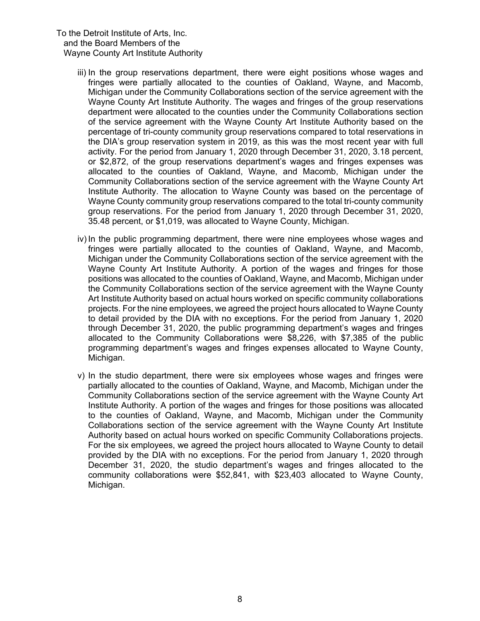- iii) In the group reservations department, there were eight positions whose wages and fringes were partially allocated to the counties of Oakland, Wayne, and Macomb, Michigan under the Community Collaborations section of the service agreement with the Wayne County Art Institute Authority. The wages and fringes of the group reservations department were allocated to the counties under the Community Collaborations section of the service agreement with the Wayne County Art Institute Authority based on the percentage of tri-county community group reservations compared to total reservations in the DIA's group reservation system in 2019, as this was the most recent year with full activity. For the period from January 1, 2020 through December 31, 2020, 3.18 percent, or \$2,872, of the group reservations department's wages and fringes expenses was allocated to the counties of Oakland, Wayne, and Macomb, Michigan under the Community Collaborations section of the service agreement with the Wayne County Art Institute Authority. The allocation to Wayne County was based on the percentage of Wayne County community group reservations compared to the total tri-county community group reservations. For the period from January 1, 2020 through December 31, 2020, 35.48 percent, or \$1,019, was allocated to Wayne County, Michigan.
- iv) In the public programming department, there were nine employees whose wages and fringes were partially allocated to the counties of Oakland, Wayne, and Macomb, Michigan under the Community Collaborations section of the service agreement with the Wayne County Art Institute Authority. A portion of the wages and fringes for those positions was allocated to the counties of Oakland, Wayne, and Macomb, Michigan under the Community Collaborations section of the service agreement with the Wayne County Art Institute Authority based on actual hours worked on specific community collaborations projects. For the nine employees, we agreed the project hours allocated to Wayne County to detail provided by the DIA with no exceptions. For the period from January 1, 2020 through December 31, 2020, the public programming department's wages and fringes allocated to the Community Collaborations were \$8,226, with \$7,385 of the public programming department's wages and fringes expenses allocated to Wayne County, Michigan.
- v) In the studio department, there were six employees whose wages and fringes were partially allocated to the counties of Oakland, Wayne, and Macomb, Michigan under the Community Collaborations section of the service agreement with the Wayne County Art Institute Authority. A portion of the wages and fringes for those positions was allocated to the counties of Oakland, Wayne, and Macomb, Michigan under the Community Collaborations section of the service agreement with the Wayne County Art Institute Authority based on actual hours worked on specific Community Collaborations projects. For the six employees, we agreed the project hours allocated to Wayne County to detail provided by the DIA with no exceptions. For the period from January 1, 2020 through December 31, 2020, the studio department's wages and fringes allocated to the community collaborations were \$52,841, with \$23,403 allocated to Wayne County, Michigan.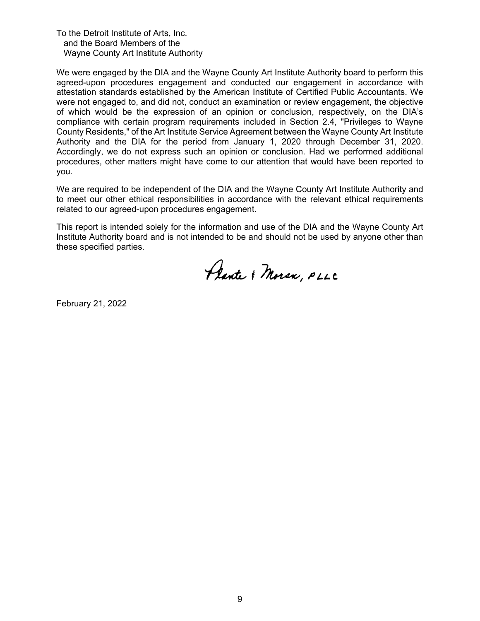We were engaged by the DIA and the Wayne County Art Institute Authority board to perform this agreed-upon procedures engagement and conducted our engagement in accordance with attestation standards established by the American Institute of Certified Public Accountants. We were not engaged to, and did not, conduct an examination or review engagement, the objective of which would be the expression of an opinion or conclusion, respectively, on the DIA's compliance with certain program requirements included in Section 2.4, "Privileges to Wayne County Residents," of the Art Institute Service Agreement between the Wayne County Art Institute Authority and the DIA for the period from January 1, 2020 through December 31, 2020. Accordingly, we do not express such an opinion or conclusion. Had we performed additional procedures, other matters might have come to our attention that would have been reported to you.

We are required to be independent of the DIA and the Wayne County Art Institute Authority and to meet our other ethical responsibilities in accordance with the relevant ethical requirements related to our agreed-upon procedures engagement.

This report is intended solely for the information and use of the DIA and the Wayne County Art Institute Authority board and is not intended to be and should not be used by anyone other than these specified parties.

Plante & Moran, PLLC

February 21, 2022